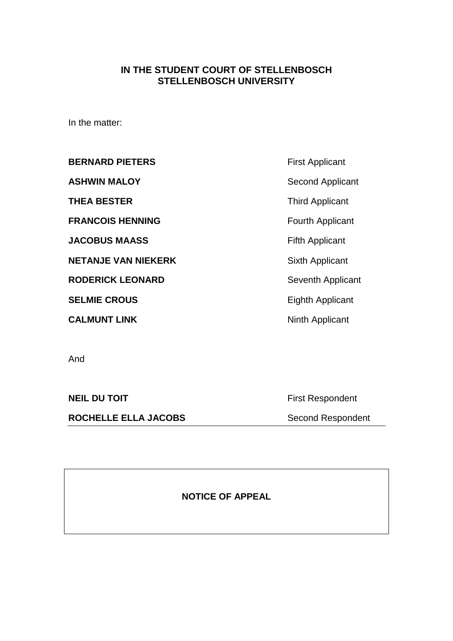## **IN THE STUDENT COURT OF STELLENBOSCH STELLENBOSCH UNIVERSITY**

In the matter:

**BERNARD PIETERS** First Applicant **ASHWIN MALOY** Second Applicant **THEA BESTER** Third Applicant **FRANCOIS HENNING** FOUTH Fourth Applicant **JACOBUS MAASS** Fifth Applicant **NETANJE VAN NIEKERK** Sixth Applicant **RODERICK LEONARD** Seventh Applicant

**CALMUNT LINK** Ninth Applicant

**SELMIE CROUS** Eighth Applicant

And

**ROCHELLE ELLA JACOBS** Second Respondent

**NEIL DU TOIT First Respondent** 

**NOTICE OF APPEAL**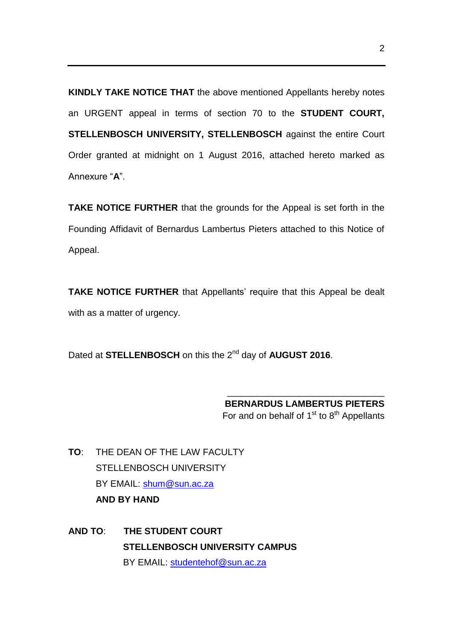**KINDLY TAKE NOTICE THAT** the above mentioned Appellants hereby notes an URGENT appeal in terms of section 70 to the **STUDENT COURT, STELLENBOSCH UNIVERSITY, STELLENBOSCH** against the entire Court Order granted at midnight on 1 August 2016, attached hereto marked as Annexure "**A**".

**TAKE NOTICE FURTHER** that the grounds for the Appeal is set forth in the Founding Affidavit of Bernardus Lambertus Pieters attached to this Notice of Appeal.

**TAKE NOTICE FURTHER** that Appellants' require that this Appeal be dealt with as a matter of urgency.

Dated at **STELLENBOSCH** on this the 2nd day of **AUGUST 2016**.

**BERNARDUS LAMBERTUS PIETERS** For and on behalf of  $1<sup>st</sup>$  to  $8<sup>th</sup>$  Appellants

\_\_\_\_\_\_\_\_\_\_\_\_\_\_\_\_\_\_\_\_\_\_\_\_\_\_\_\_\_\_\_

**TO**: THE DEAN OF THE LAW FACULTY STELLENBOSCH UNIVERSITY BY EMAIL: [shum@sun.ac.za](mailto:shum@sun.ac.za) **AND BY HAND**

**AND TO**: **THE STUDENT COURT STELLENBOSCH UNIVERSITY CAMPUS** BY EMAIL: [studentehof@sun.ac.za](mailto:studentehof@sun.ac.za)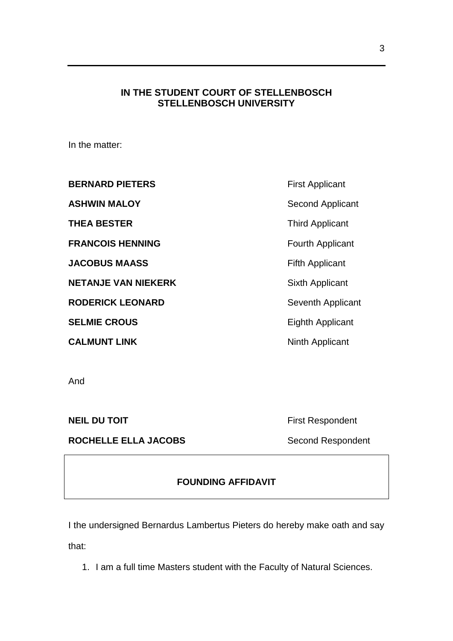### **IN THE STUDENT COURT OF STELLENBOSCH STELLENBOSCH UNIVERSITY**

In the matter:

| <b>BERNARD PIETERS</b>     | <b>First Applicant</b>  |
|----------------------------|-------------------------|
| <b>ASHWIN MALOY</b>        | Second Applicant        |
| <b>THEA BESTER</b>         | <b>Third Applicant</b>  |
| <b>FRANCOIS HENNING</b>    | <b>Fourth Applicant</b> |
| <b>JACOBUS MAASS</b>       | <b>Fifth Applicant</b>  |
| <b>NETANJE VAN NIEKERK</b> | Sixth Applicant         |
| <b>RODERICK LEONARD</b>    | Seventh Applicant       |
| <b>SELMIE CROUS</b>        | <b>Eighth Applicant</b> |
| <b>CALMUNT LINK</b>        | Ninth Applicant         |

And

ROCHELLE ELLA JACOBS Second Respondent

**NEIL DU TOIT Example 20 TOIT First Respondent** 

# **FOUNDING AFFIDAVIT**

I the undersigned Bernardus Lambertus Pieters do hereby make oath and say that:

1. I am a full time Masters student with the Faculty of Natural Sciences.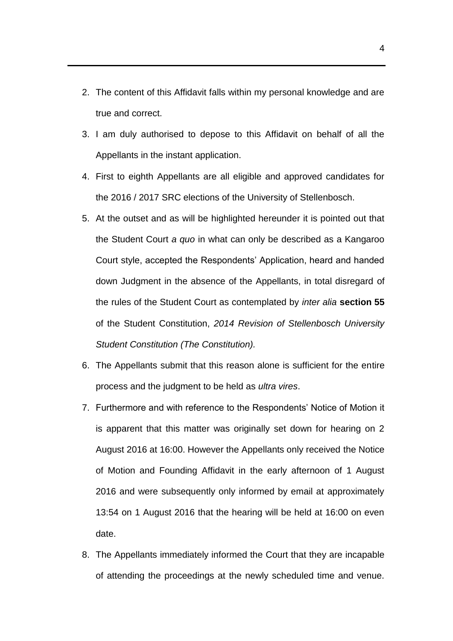- 2. The content of this Affidavit falls within my personal knowledge and are true and correct.
- 3. I am duly authorised to depose to this Affidavit on behalf of all the Appellants in the instant application.
- 4. First to eighth Appellants are all eligible and approved candidates for the 2016 / 2017 SRC elections of the University of Stellenbosch.
- 5. At the outset and as will be highlighted hereunder it is pointed out that the Student Court *a quo* in what can only be described as a Kangaroo Court style, accepted the Respondents' Application, heard and handed down Judgment in the absence of the Appellants, in total disregard of the rules of the Student Court as contemplated by *inter alia* **section 55** of the Student Constitution, *2014 Revision of Stellenbosch University Student Constitution (The Constitution).*
- 6. The Appellants submit that this reason alone is sufficient for the entire process and the judgment to be held as *ultra vires*.
- 7. Furthermore and with reference to the Respondents' Notice of Motion it is apparent that this matter was originally set down for hearing on 2 August 2016 at 16:00. However the Appellants only received the Notice of Motion and Founding Affidavit in the early afternoon of 1 August 2016 and were subsequently only informed by email at approximately 13:54 on 1 August 2016 that the hearing will be held at 16:00 on even date.
- 8. The Appellants immediately informed the Court that they are incapable of attending the proceedings at the newly scheduled time and venue.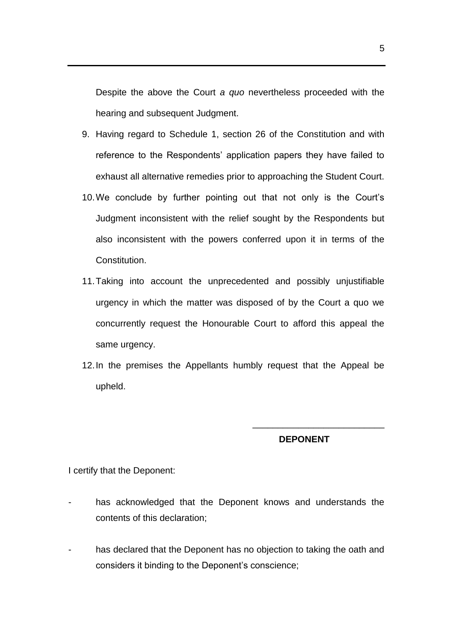Despite the above the Court *a quo* nevertheless proceeded with the hearing and subsequent Judgment.

- 9. Having regard to Schedule 1, section 26 of the Constitution and with reference to the Respondents' application papers they have failed to exhaust all alternative remedies prior to approaching the Student Court.
- 10.We conclude by further pointing out that not only is the Court's Judgment inconsistent with the relief sought by the Respondents but also inconsistent with the powers conferred upon it in terms of the Constitution.
- 11.Taking into account the unprecedented and possibly unjustifiable urgency in which the matter was disposed of by the Court a quo we concurrently request the Honourable Court to afford this appeal the same urgency.
- 12.In the premises the Appellants humbly request that the Appeal be upheld.

## **DEPONENT**

\_\_\_\_\_\_\_\_\_\_\_\_\_\_\_\_\_\_\_\_\_\_\_\_\_\_

I certify that the Deponent:

- has acknowledged that the Deponent knows and understands the contents of this declaration;
- has declared that the Deponent has no objection to taking the oath and considers it binding to the Deponent's conscience;